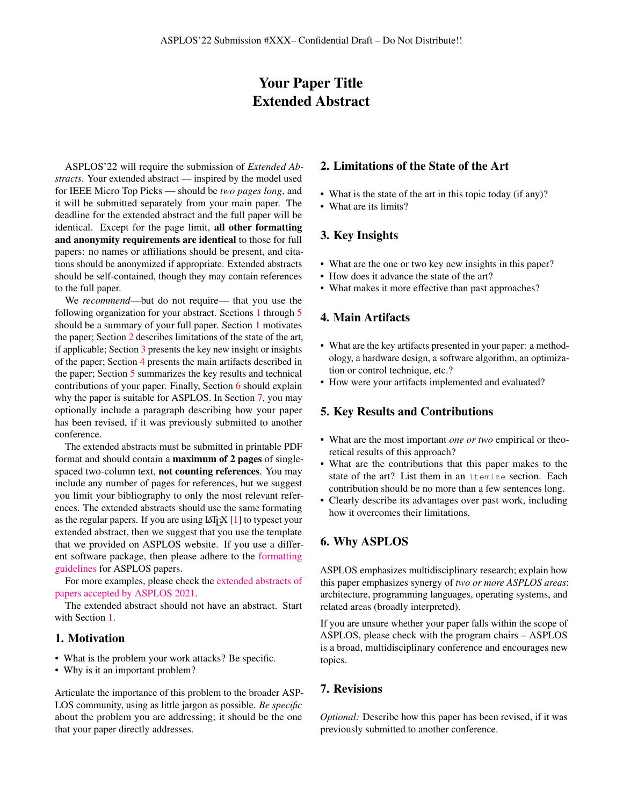# Your Paper Title Extended Abstract

ASPLOS'22 will require the submission of *Extended Abstracts*. Your extended abstract — inspired by the model used for IEEE Micro Top Picks — should be *two pages long*, and it will be submitted separately from your main paper. The deadline for the extended abstract and the full paper will be identical. Except for the page limit, all other formatting and anonymity requirements are identical to those for full papers: no names or affiliations should be present, and citations should be anonymized if appropriate. Extended abstracts should be self-contained, though they may contain references to the full paper.

We *recommend*—but do not require— that you use the following organization for your abstract. Sections [1](#page-0-0) through [5](#page-0-1) should be a summary of your full paper. Section [1](#page-0-0) motivates the paper; Section [2](#page-0-2) describes limitations of the state of the art, if applicable; Section [3](#page-0-3) presents the key new insight or insights of the paper; Section [4](#page-0-4) presents the main artifacts described in the paper; Section [5](#page-0-1) summarizes the key results and technical contributions of your paper. Finally, Section [6](#page-0-5) should explain why the paper is suitable for ASPLOS. In Section [7,](#page-0-6) you may optionally include a paragraph describing how your paper has been revised, if it was previously submitted to another conference.

The extended abstracts must be submitted in printable PDF format and should contain a maximum of 2 pages of singlespaced two-column text, not counting references. You may include any number of pages for references, but we suggest you limit your bibliography to only the most relevant references. The extended abstracts should use the same formating as the regular papers. If you are using LATEX [\[1\]](#page-1-0) to typeset your extended abstract, then we suggest that you use the template that we provided on ASPLOS website. If you use a different software package, then please adhere to the [formatting](https://asplos-conference.org/submissions/) [guidelines](https://asplos-conference.org/submissions/) for ASPLOS papers.

For more examples, please check the [extended abstracts of](https://asplos-conference.org/2021/index.html%3Fp=2181.html) [papers accepted by ASPLOS 2021.](https://asplos-conference.org/2021/index.html%3Fp=2181.html)

The extended abstract should not have an abstract. Start with Section [1.](#page-0-0)

#### <span id="page-0-0"></span>1. Motivation

- What is the problem your work attacks? Be specific.
- Why is it an important problem?

Articulate the importance of this problem to the broader ASP-LOS community, using as little jargon as possible. *Be specific* about the problem you are addressing; it should be the one that your paper directly addresses.

#### <span id="page-0-2"></span>2. Limitations of the State of the Art

- What is the state of the art in this topic today (if any)?
- What are its limits?

# <span id="page-0-3"></span>3. Key Insights

- What are the one or two key new insights in this paper?
- How does it advance the state of the art?
- What makes it more effective than past approaches?

#### <span id="page-0-4"></span>4. Main Artifacts

- What are the key artifacts presented in your paper: a methodology, a hardware design, a software algorithm, an optimization or control technique, etc.?
- How were your artifacts implemented and evaluated?

### <span id="page-0-1"></span>5. Key Results and Contributions

- What are the most important *one or two* empirical or theoretical results of this approach?
- What are the contributions that this paper makes to the state of the art? List them in an itemize section. Each contribution should be no more than a few sentences long.
- Clearly describe its advantages over past work, including how it overcomes their limitations.

# <span id="page-0-5"></span>6. Why ASPLOS

ASPLOS emphasizes multidisciplinary research; explain how this paper emphasizes synergy of *two or more ASPLOS areas*: architecture, programming languages, operating systems, and related areas (broadly interpreted).

If you are unsure whether your paper falls within the scope of ASPLOS, please check with the program chairs – ASPLOS is a broad, multidisciplinary conference and encourages new topics.

# <span id="page-0-6"></span>7. Revisions

*Optional:* Describe how this paper has been revised, if it was previously submitted to another conference.